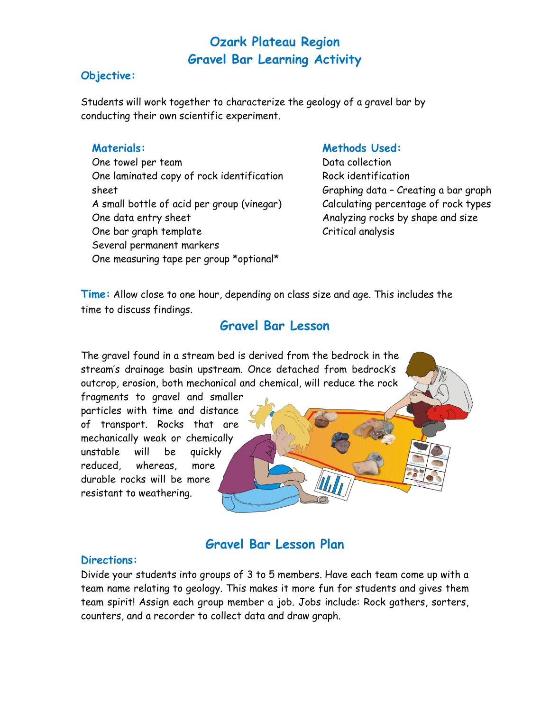#### **Objective:**

Students will work together to characterize the geology of a gravel bar by conducting their own scientific experiment.

#### **Materials:**

One towel per team One laminated copy of rock identification sheet A small bottle of acid per group (vinegar) One data entry sheet One bar graph template Several permanent markers One measuring tape per group \*optional\*

#### **Methods Used:**

Data collection Rock identification Graphing data – Creating a bar graph Calculating percentage of rock types Analyzing rocks by shape and size Critical analysis

**Time:** Allow close to one hour, depending on class size and age. This includes the time to discuss findings.

#### **Gravel Bar Lesson**

The gravel found in a stream bed is derived from the bedrock in the stream's drainage basin upstream. Once detached from bedrock's outcrop, erosion, both mechanical and chemical, will reduce the rock

fragments to gravel and smaller particles with time and distance of transport. Rocks that are mechanically weak or chemically unstable will be quickly reduced, whereas, more durable rocks will be more resistant to weathering.

#### **Gravel Bar Lesson Plan**

#### **Directions:**

Divide your students into groups of 3 to 5 members. Have each team come up with a team name relating to geology. This makes it more fun for students and gives them team spirit! Assign each group member a job. Jobs include: Rock gathers, sorters, counters, and a recorder to collect data and draw graph.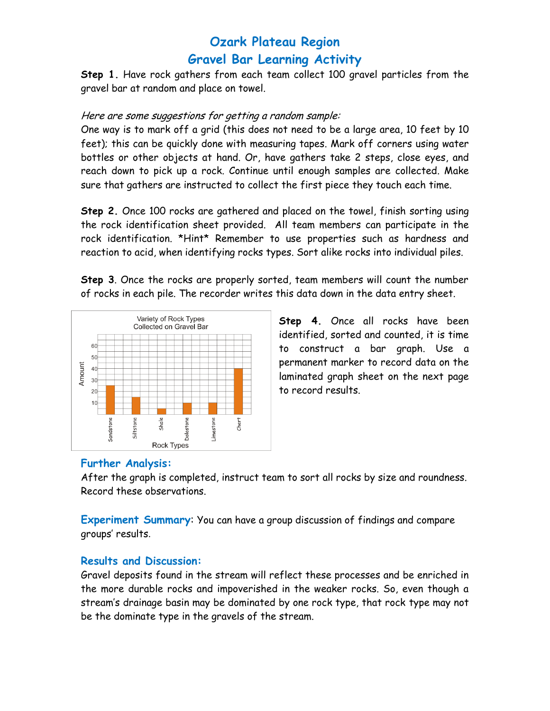**Step 1.** Have rock gathers from each team collect 100 gravel particles from the gravel bar at random and place on towel.

#### Here are some suggestions for getting a random sample:

One way is to mark off a grid (this does not need to be a large area, 10 feet by 10 feet); this can be quickly done with measuring tapes. Mark off corners using water bottles or other objects at hand. Or, have gathers take 2 steps, close eyes, and reach down to pick up a rock. Continue until enough samples are collected. Make sure that gathers are instructed to collect the first piece they touch each time.

**Step 2.** Once 100 rocks are gathered and placed on the towel, finish sorting using the rock identification sheet provided. All team members can participate in the rock identification. \*Hint\* Remember to use properties such as hardness and reaction to acid, when identifying rocks types. Sort alike rocks into individual piles.

**Step 3**. Once the rocks are properly sorted, team members will count the number of rocks in each pile. The recorder writes this data down in the data entry sheet.



**Step 4.** Once all rocks have been identified, sorted and counted, it is time to construct a bar graph. Use a permanent marker to record data on the laminated graph sheet on the next page to record results.

#### **Further Analysis:**

After the graph is completed, instruct team to sort all rocks by size and roundness. Record these observations.

**Experiment Summary**: You can have a group discussion of findings and compare groups' results.

#### **Results and Discussion:**

Gravel deposits found in the stream will reflect these processes and be enriched in the more durable rocks and impoverished in the weaker rocks. So, even though a stream's drainage basin may be dominated by one rock type, that rock type may not be the dominate type in the gravels of the stream.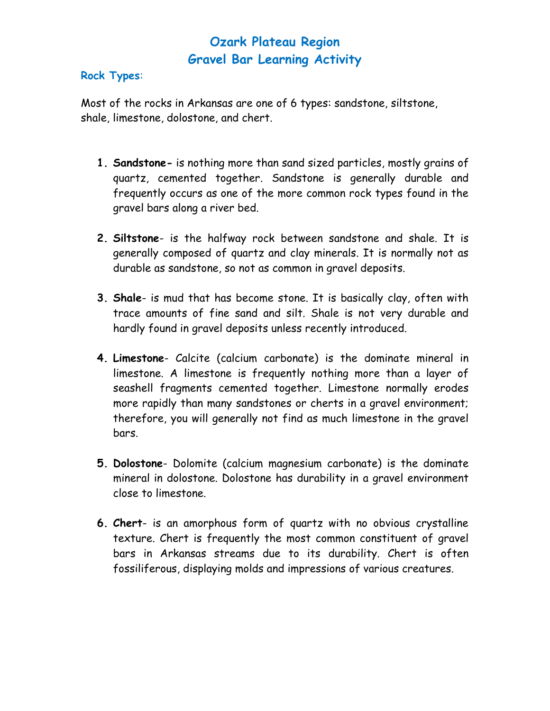#### **Rock Types**:

Most of the rocks in Arkansas are one of 6 types: sandstone, siltstone, shale, limestone, dolostone, and chert.

- **1. Sandstone-** is nothing more than sand sized particles, mostly grains of quartz, cemented together. Sandstone is generally durable and frequently occurs as one of the more common rock types found in the gravel bars along a river bed.
- **2. Siltstone** is the halfway rock between sandstone and shale. It is generally composed of quartz and clay minerals. It is normally not as durable as sandstone, so not as common in gravel deposits.
- **3. Shale** is mud that has become stone. It is basically clay, often with trace amounts of fine sand and silt. Shale is not very durable and hardly found in gravel deposits unless recently introduced.
- **4. Limestone** Calcite (calcium carbonate) is the dominate mineral in limestone. A limestone is frequently nothing more than a layer of seashell fragments cemented together. Limestone normally erodes more rapidly than many sandstones or cherts in a gravel environment; therefore, you will generally not find as much limestone in the gravel bars.
- **5. Dolostone** Dolomite (calcium magnesium carbonate) is the dominate mineral in dolostone. Dolostone has durability in a gravel environment close to limestone.
- **6. Chert** is an amorphous form of quartz with no obvious crystalline texture. Chert is frequently the most common constituent of gravel bars in Arkansas streams due to its durability. Chert is often fossiliferous, displaying molds and impressions of various creatures.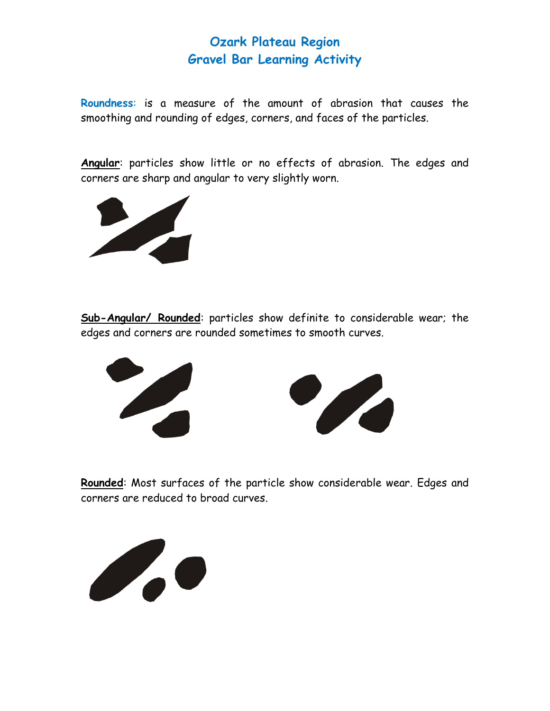**Roundness**: is a measure of the amount of abrasion that causes the smoothing and rounding of edges, corners, and faces of the particles.

**Angular**: particles show little or no effects of abrasion. The edges and corners are sharp and angular to very slightly worn.



**Sub-Angular/ Rounded**: particles show definite to considerable wear; the edges and corners are rounded sometimes to smooth curves.





**Rounded**: Most surfaces of the particle show considerable wear. Edges and corners are reduced to broad curves.

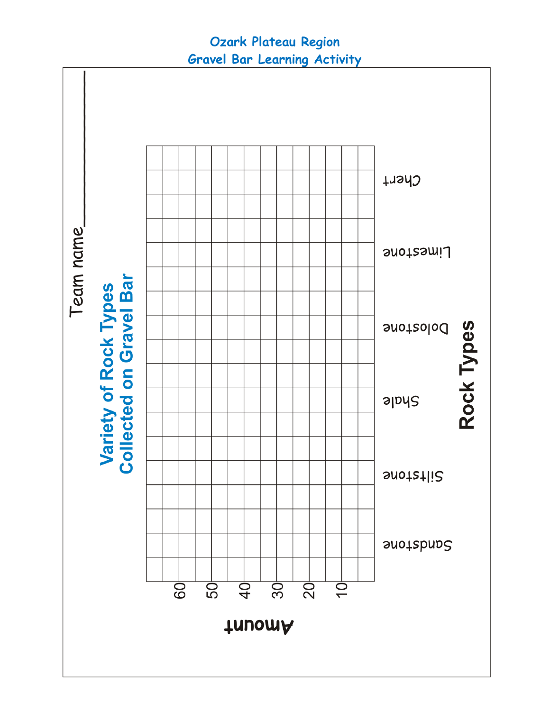